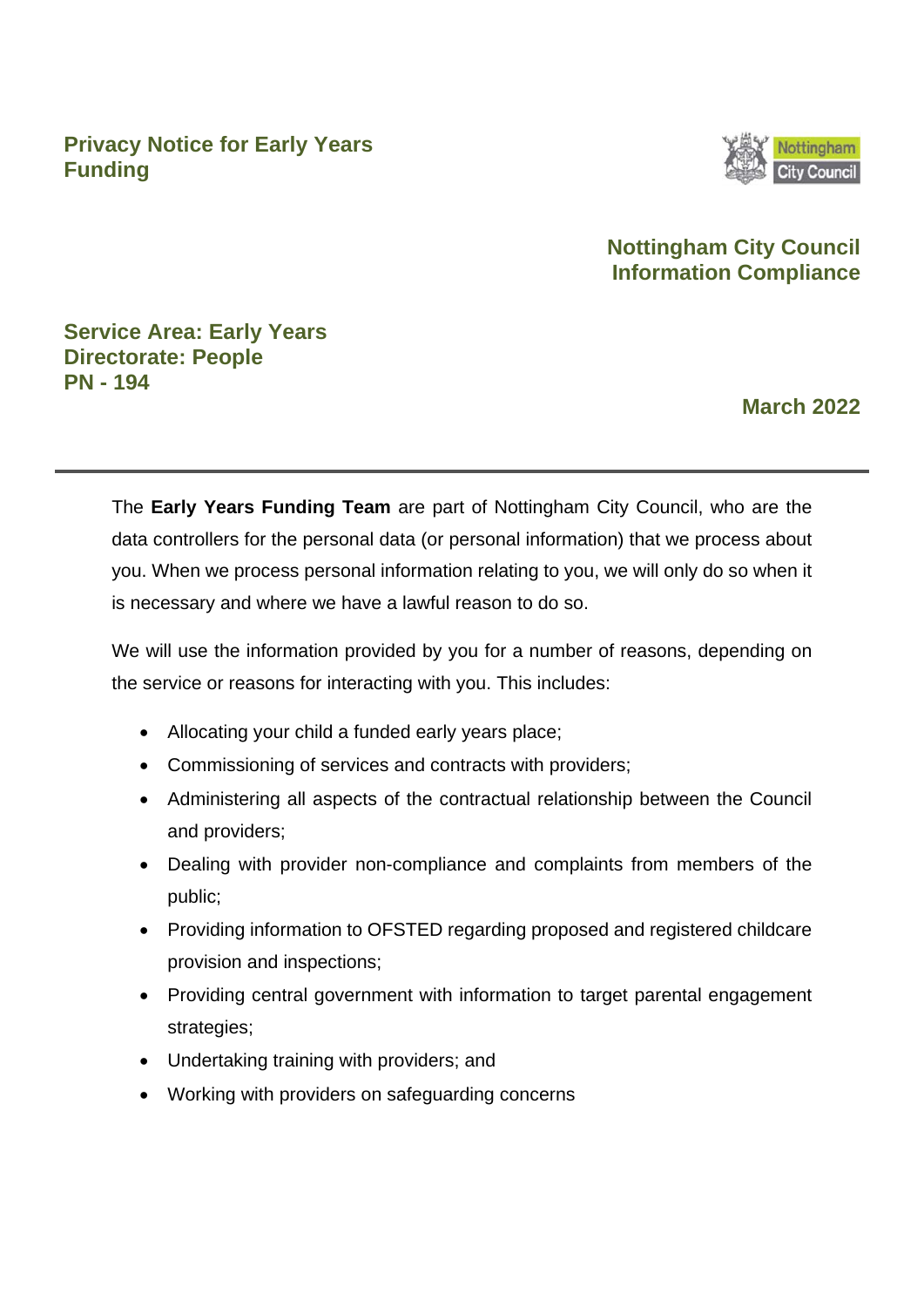**Privacy Notice for Early Years Funding**



### **Nottingham City Council Information Compliance**

### **Service Area: Early Years Directorate: People PN - 194**

### **March 2022**

The **Early Years Funding Team** are part of Nottingham City Council, who are the data controllers for the personal data (or personal information) that we process about you. When we process personal information relating to you, we will only do so when it is necessary and where we have a lawful reason to do so.

We will use the information provided by you for a number of reasons, depending on the service or reasons for interacting with you. This includes:

- Allocating your child a funded early years place;
- Commissioning of services and contracts with providers;
- Administering all aspects of the contractual relationship between the Council and providers;
- Dealing with provider non-compliance and complaints from members of the public;
- Providing information to OFSTED regarding proposed and registered childcare provision and inspections;
- Providing central government with information to target parental engagement strategies:
- Undertaking training with providers; and
- Working with providers on safeguarding concerns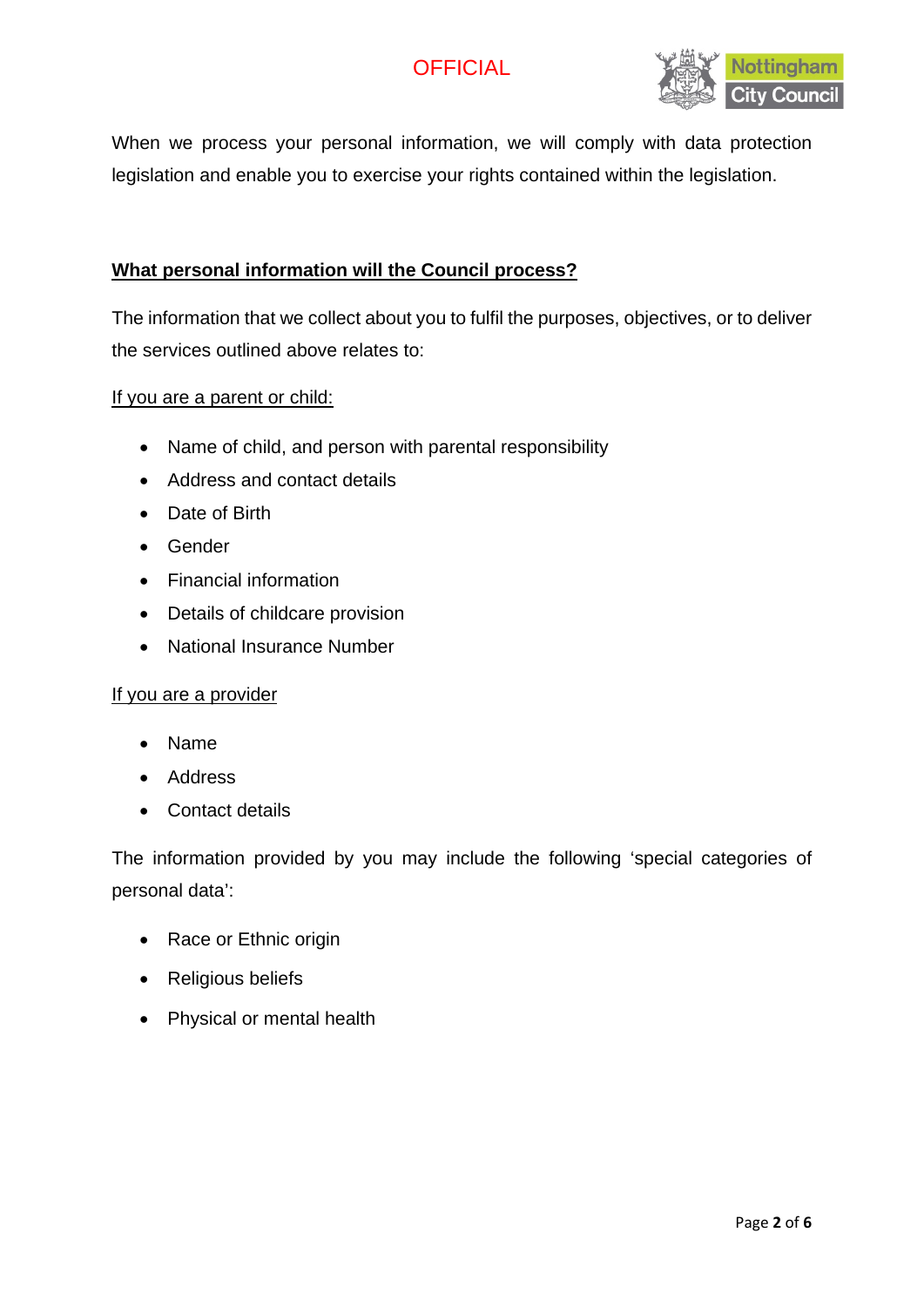

When we process your personal information, we will comply with data protection legislation and enable you to exercise your rights contained within the legislation.

### **What personal information will the Council process?**

The information that we collect about you to fulfil the purposes, objectives, or to deliver the services outlined above relates to:

#### If you are a parent or child:

- Name of child, and person with parental responsibility
- Address and contact details
- Date of Birth
- Gender
- Financial information
- Details of childcare provision
- National Insurance Number

#### If you are a provider

- Name
- Address
- Contact details

The information provided by you may include the following 'special categories of personal data':

- Race or Ethnic origin
- Religious beliefs
- Physical or mental health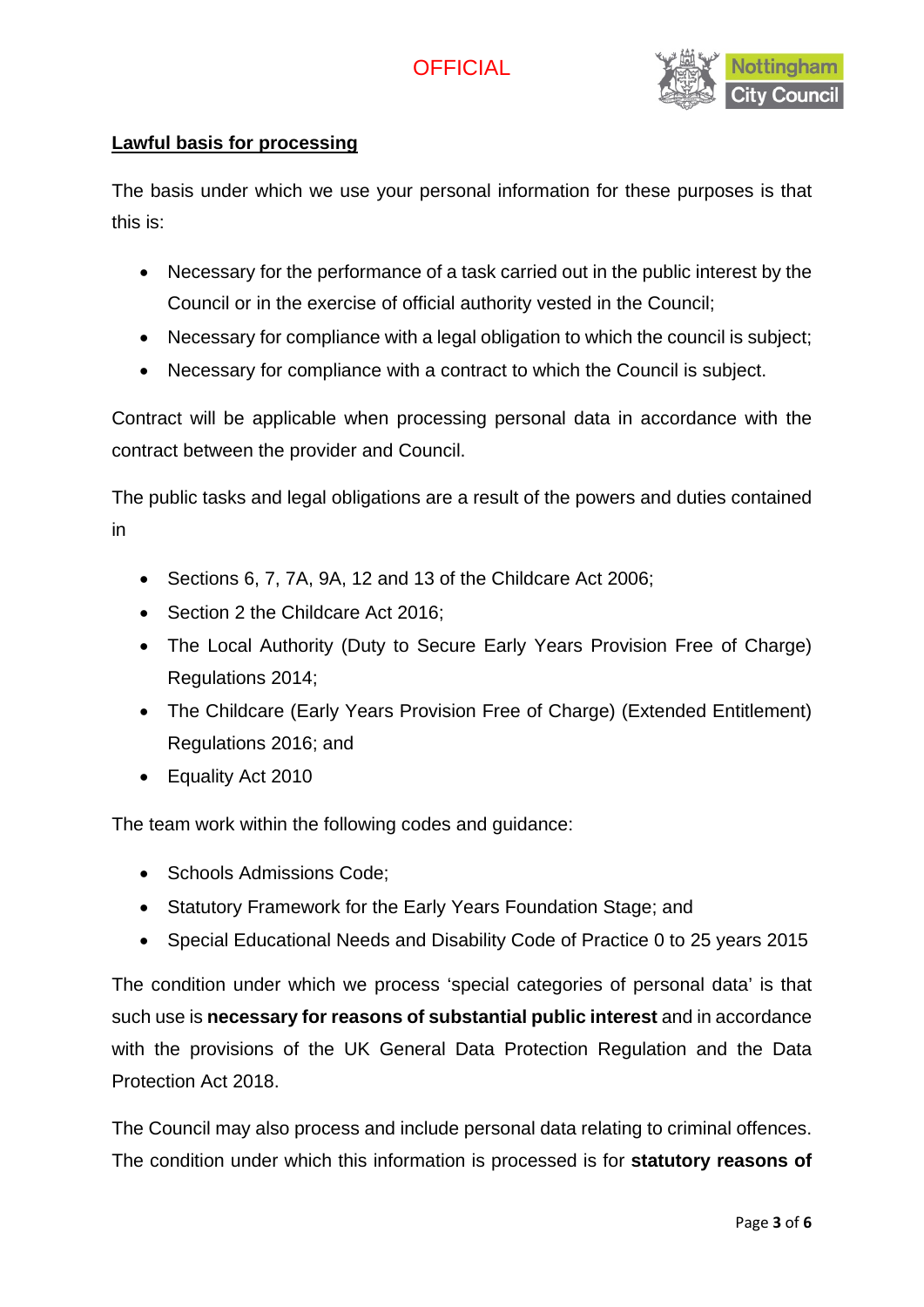

### **Lawful basis for processing**

The basis under which we use your personal information for these purposes is that this is:

- Necessary for the performance of a task carried out in the public interest by the Council or in the exercise of official authority vested in the Council;
- Necessary for compliance with a legal obligation to which the council is subject;
- Necessary for compliance with a contract to which the Council is subject.

Contract will be applicable when processing personal data in accordance with the contract between the provider and Council.

The public tasks and legal obligations are a result of the powers and duties contained in

- Sections 6, 7, 7A, 9A, 12 and 13 of the Childcare Act 2006;
- Section 2 the Childcare Act 2016;
- The Local Authority (Duty to Secure Early Years Provision Free of Charge) Regulations 2014;
- The Childcare (Early Years Provision Free of Charge) (Extended Entitlement) Regulations 2016; and
- Equality Act 2010

The team work within the following codes and guidance:

- Schools Admissions Code;
- Statutory Framework for the Early Years Foundation Stage; and
- Special Educational Needs and Disability Code of Practice 0 to 25 years 2015

The condition under which we process 'special categories of personal data' is that such use is **necessary for reasons of substantial public interest** and in accordance with the provisions of the UK General Data Protection Regulation and the Data Protection Act 2018.

The Council may also process and include personal data relating to criminal offences. The condition under which this information is processed is for **statutory reasons of**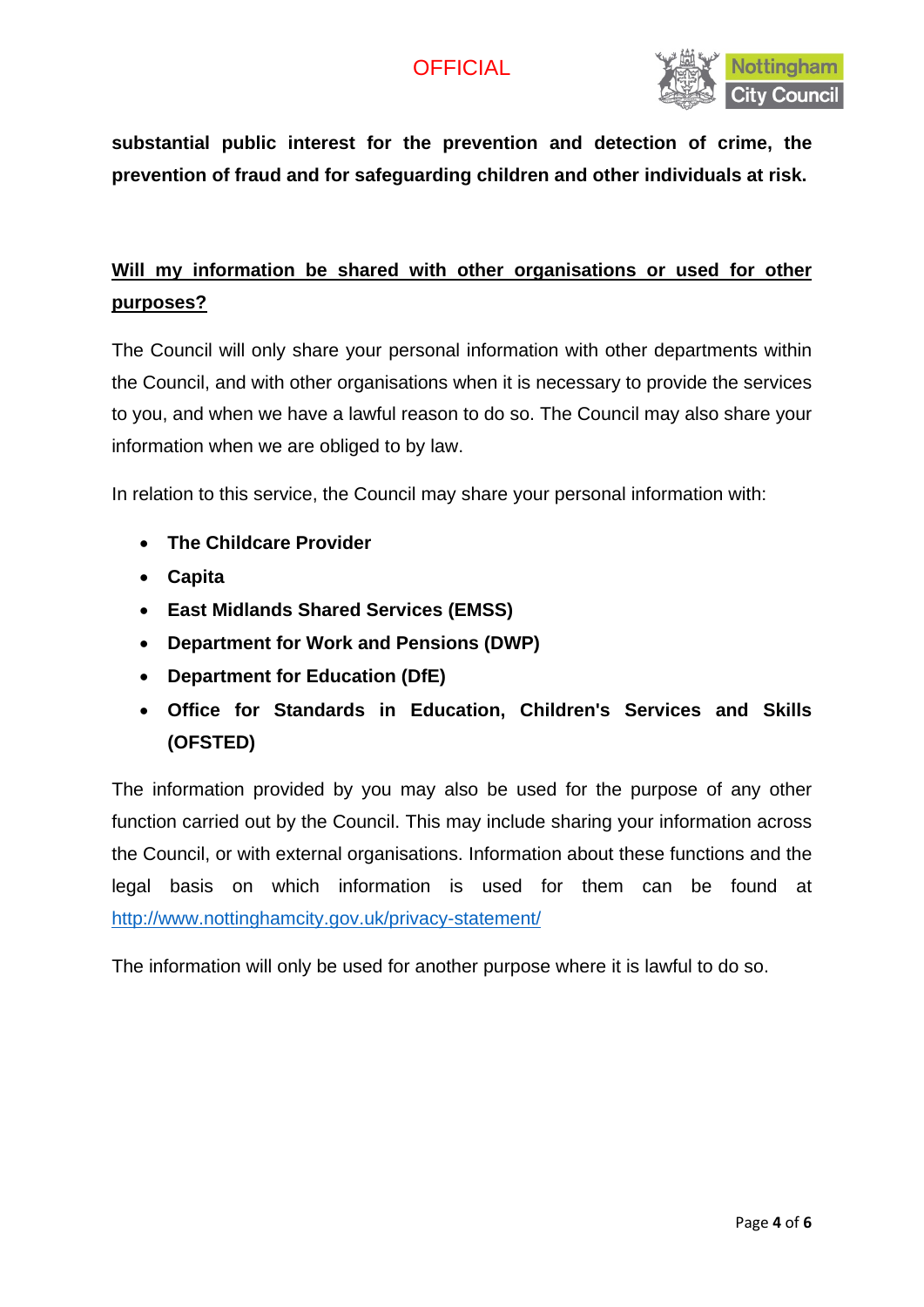

**substantial public interest for the prevention and detection of crime, the prevention of fraud and for safeguarding children and other individuals at risk.**

## **Will my information be shared with other organisations or used for other purposes?**

The Council will only share your personal information with other departments within the Council, and with other organisations when it is necessary to provide the services to you, and when we have a lawful reason to do so. The Council may also share your information when we are obliged to by law.

In relation to this service, the Council may share your personal information with:

- **The Childcare Provider**
- **Capita**
- **East Midlands Shared Services (EMSS)**
- **Department for Work and Pensions (DWP)**
- **Department for Education (DfE)**
- **Office for Standards in Education, Children's Services and Skills (OFSTED)**

The information provided by you may also be used for the purpose of any other function carried out by the Council. This may include sharing your information across the Council, or with external organisations. Information about these functions and the legal basis on which information is used for them can be found at <http://www.nottinghamcity.gov.uk/privacy-statement/>

The information will only be used for another purpose where it is lawful to do so.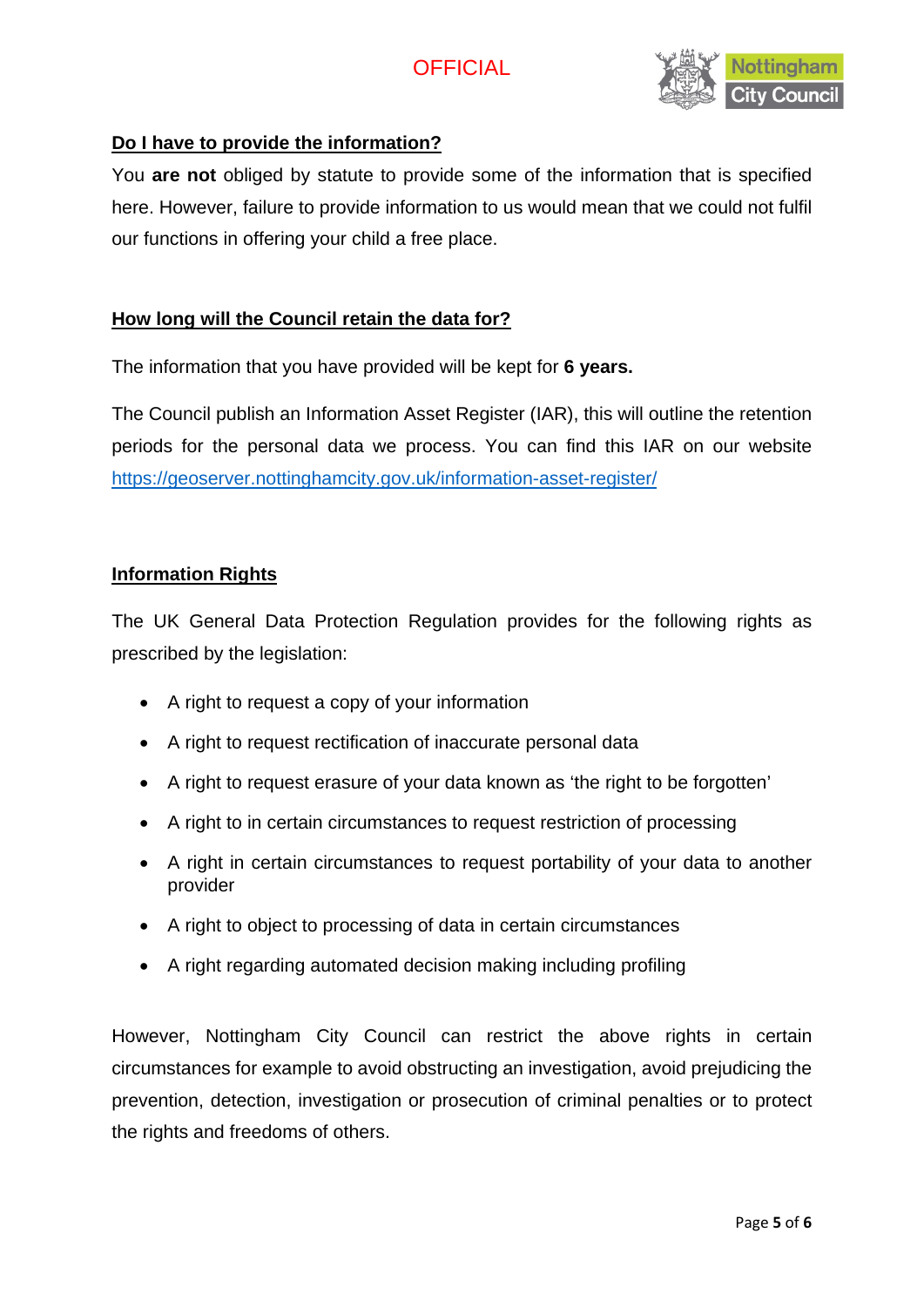

### **Do I have to provide the information?**

You **are not** obliged by statute to provide some of the information that is specified here. However, failure to provide information to us would mean that we could not fulfil our functions in offering your child a free place.

### **How long will the Council retain the data for?**

The information that you have provided will be kept for **6 years.** 

The Council publish an Information Asset Register (IAR), this will outline the retention periods for the personal data we process. You can find this IAR on our website <https://geoserver.nottinghamcity.gov.uk/information-asset-register/>

#### **Information Rights**

The UK General Data Protection Regulation provides for the following rights as prescribed by the legislation:

- A right to request a copy of your information
- A right to request rectification of inaccurate personal data
- A right to request erasure of your data known as 'the right to be forgotten'
- A right to in certain circumstances to request restriction of processing
- A right in certain circumstances to request portability of your data to another provider
- A right to object to processing of data in certain circumstances
- A right regarding automated decision making including profiling

However, Nottingham City Council can restrict the above rights in certain circumstances for example to avoid obstructing an investigation, avoid prejudicing the prevention, detection, investigation or prosecution of criminal penalties or to protect the rights and freedoms of others.